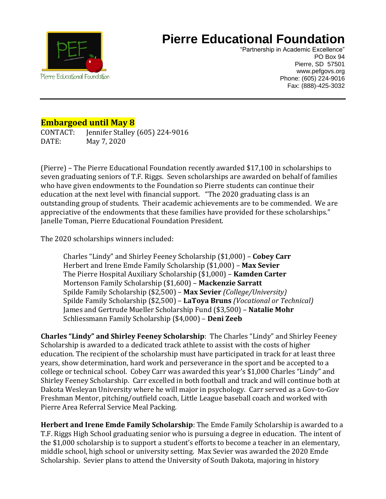

## **Pierre Educational Foundation**

"Partnership in Academic Excellence" PO Box 94 Pierre, SD 57501 www.pefgovs.org Phone: (605) 224-9016 Fax: (888)-425-3032

## **Embargoed until May 8**

CONTACT: Jennifer Stalley (605) 224-9016 DATE: May 7, 2020

(Pierre) – The Pierre Educational Foundation recently awarded \$17,100 in scholarships to seven graduating seniors of T.F. Riggs. Seven scholarships are awarded on behalf of families who have given endowments to the Foundation so Pierre students can continue their education at the next level with financial support. "The 2020 graduating class is an outstanding group of students. Their academic achievements are to be commended. We are appreciative of the endowments that these families have provided for these scholarships." Janelle Toman, Pierre Educational Foundation President.

The 2020 scholarships winners included:

Charles "Lindy" and Shirley Feeney Scholarship (\$1,000) – **Cobey Carr** Herbert and Irene Emde Family Scholarship (\$1,000) – **Max Sevier** The Pierre Hospital Auxiliary Scholarship (\$1,000) – **Kamden Carter** Mortenson Family Scholarship (\$1,600) – **Mackenzie Sarratt** Spilde Family Scholarship (\$2,500) – **Max Sevier** *(College/University)* Spilde Family Scholarship (\$2,500) – **LaToya Bruns** *(Vocational or Technical)* James and Gertrude Mueller Scholarship Fund (\$3,500) – **Natalie Mohr** Schliessmann Family Scholarship (\$4,000) – **Deni Zeeb**

**Charles "Lindy" and Shirley Feeney Scholarship**: The Charles "Lindy" and Shirley Feeney Scholarship is awarded to a dedicated track athlete to assist with the costs of higher education. The recipient of the scholarship must have participated in track for at least three years, show determination, hard work and perseverance in the sport and be accepted to a college or technical school. Cobey Carr was awarded this year's \$1,000 Charles "Lindy" and Shirley Feeney Scholarship. Carr excelled in both football and track and will continue both at Dakota Wesleyan University where he will major in psychology. Carr served as a Gov-to-Gov Freshman Mentor, pitching/outfield coach, Little League baseball coach and worked with Pierre Area Referral Service Meal Packing.

**Herbert and Irene Emde Family Scholarship**: The Emde Family Scholarship is awarded to a T.F. Riggs High School graduating senior who is pursuing a degree in education. The intent of the \$1,000 scholarship is to support a student's efforts to become a teacher in an elementary, middle school, high school or university setting. Max Sevier was awarded the 2020 Emde Scholarship. Sevier plans to attend the University of South Dakota, majoring in history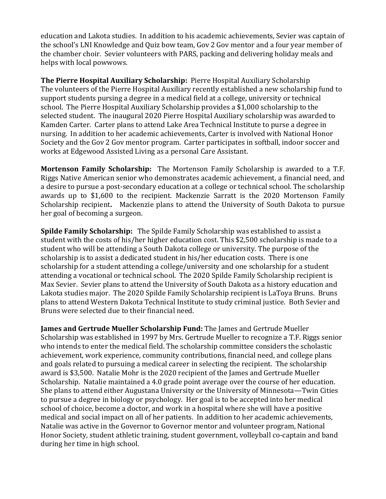education and Lakota studies. In addition to his academic achievements, Sevier was captain of the school's LNI Knowledge and Quiz bow team, Gov 2 Gov mentor and a four year member of the chamber choir. Sevier volunteers with PARS, packing and delivering holiday meals and helps with local powwows.

**The Pierre Hospital Auxiliary Scholarship:** Pierre Hospital Auxiliary Scholarship The volunteers of the Pierre Hospital Auxiliary recently established a new scholarship fund to support students pursing a degree in a medical field at a college, university or technical school. The Pierre Hospital Auxiliary Scholarship provides a \$1,000 scholarship to the selected student. The inaugural 2020 Pierre Hospital Auxiliary scholarship was awarded to Kamden Carter. Carter plans to attend Lake Area Technical Institute to purse a degree in nursing. In addition to her academic achievements, Carter is involved with National Honor Society and the Gov 2 Gov mentor program. Carter participates in softball, indoor soccer and works at Edgewood Assisted Living as a personal Care Assistant.

**Mortenson Family Scholarship:** The Mortenson Family Scholarship is awarded to a T.F. Riggs Native American senior who demonstrates academic achievement, a financial need, and a desire to pursue a post-secondary education at a college or technical school. The scholarship awards up to \$1,600 to the recipient. Mackenzie Sarratt is the 2020 Mortenson Family Scholarship recipient**.** Mackenzie plans to attend the University of South Dakota to pursue her goal of becoming a surgeon.

**Spilde Family Scholarship:** The Spilde Family Scholarship was established to assist a student with the costs of his/her higher education cost. This \$2,500 scholarship is made to a student who will be attending a South Dakota college or university. The purpose of the scholarship is to assist a dedicated student in his/her education costs. There is one scholarship for a student attending a college/university and one scholarship for a student attending a vocational or technical school. The 2020 Spilde Family Scholarship recipient is Max Sevier. Sevier plans to attend the University of South Dakota as a history education and Lakota studies major. The 2020 Spilde Family Scholarship recipient is LaToya Bruns. Bruns plans to attend Western Dakota Technical Institute to study criminal justice. Both Sevier and Bruns were selected due to their financial need.

**James and Gertrude Mueller Scholarship Fund:** The James and Gertrude Mueller Scholarship was established in 1997 by Mrs. Gertrude Mueller to recognize a T.F. Riggs senior who intends to enter the medical field. The scholarship committee considers the scholastic achievement, work experience, community contributions, financial need, and college plans and goals related to pursuing a medical career in selecting the recipient. The scholarship award is \$3,500. Natalie Mohr is the 2020 recipient of the James and Gertrude Mueller Scholarship. Natalie maintained a 4.0 grade point average over the course of her education. She plans to attend either Augustana University or the University of Minnesota—Twin Cities to pursue a degree in biology or psychology. Her goal is to be accepted into her medical school of choice, become a doctor, and work in a hospital where she will have a positive medical and social impact on all of her patients. In addition to her academic achievements, Natalie was active in the Governor to Governor mentor and volunteer program, National Honor Society, student athletic training, student government, volleyball co-captain and band during her time in high school.